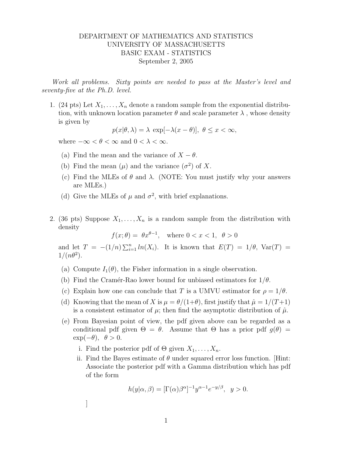## DEPARTMENT OF MATHEMATICS AND STATISTICS UNIVERSITY OF MASSACHUSETTS BASIC EXAM - STATISTICS September 2, 2005

Work all problems. Sixty points are needed to pass at the Master's level and seventy-five at the Ph.D. level.

1. (24 pts) Let  $X_1, \ldots, X_n$  denote a random sample from the exponential distribution, with unknown location parameter  $\theta$  and scale parameter  $\lambda$ , whose density is given by

 $p(x|\theta, \lambda) = \lambda \exp[-\lambda(x-\theta)], \theta \leq x < \infty,$ 

where  $-\infty < \theta < \infty$  and  $0 < \lambda < \infty$ .

- (a) Find the mean and the variance of  $X \theta$ .
- (b) Find the mean  $(\mu)$  and the variance  $(\sigma^2)$  of X.
- (c) Find the MLEs of  $\theta$  and  $\lambda$ . (NOTE: You must justify why your answers are MLEs.)
- (d) Give the MLEs of  $\mu$  and  $\sigma^2$ , with brief explanations.
- 2. (36 pts) Suppose  $X_1, \ldots, X_n$  is a random sample from the distribution with density

 $f(x; \theta) = \theta x^{\theta - 1}$ , where  $0 < x < 1$ ,  $\theta > 0$ 

and let  $T = -(1/n) \sum_{i=1}^n ln(X_i)$ . It is known that  $E(T) = 1/\theta$ ,  $Var(T) =$  $1/(n\theta^2)$ .

- (a) Compute  $I_1(\theta)$ , the Fisher information in a single observation.
- (b) Find the Cramér-Rao lower bound for unbiased estimators for  $1/\theta$ .
- (c) Explain how one can conclude that T is a UMVU estimator for  $\rho = 1/\theta$ .
- (d) Knowing that the mean of X is  $\mu = \theta/(1+\theta)$ , first justify that  $\hat{\mu} = 1/(T+1)$ is a consistent estimator of  $\mu$ ; then find the asymptotic distribution of  $\hat{\mu}$ .
- (e) From Bayesian point of view, the pdf given above can be regarded as a conditional pdf given  $\Theta = \theta$ . Assume that  $\Theta$  has a prior pdf  $q(\theta)$  $\exp(-\theta), \theta > 0.$ 
	- i. Find the posterior pdf of  $\Theta$  given  $X_1, \ldots, X_n$ .
	- ii. Find the Bayes estimate of  $\theta$  under squared error loss function. [Hint: Associate the posterior pdf with a Gamma distribution which has pdf of the form

$$
h(y|\alpha, \beta) = [\Gamma(\alpha)\beta^{\alpha}]^{-1} y^{\alpha - 1} e^{-y/\beta}, \quad y > 0.
$$

]